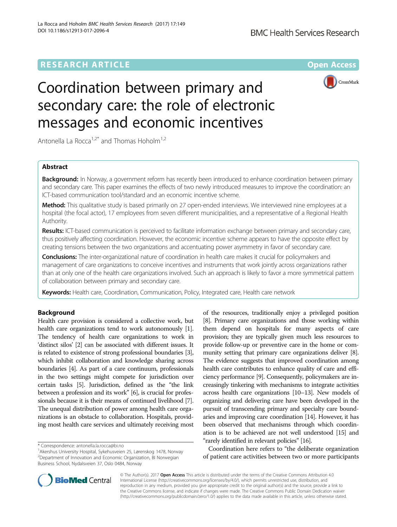# **RESEARCH ARTICLE Example 2014 12:30 The Contract of Contract ACCESS**



# Coordination between primary and secondary care: the role of electronic messages and economic incentives

Antonella La Rocca<sup>1,2\*</sup> and Thomas Hoholm<sup>1,2</sup>

# Abstract

**Background:** In Norway, a government reform has recently been introduced to enhance coordination between primary and secondary care. This paper examines the effects of two newly introduced measures to improve the coordination: an ICT-based communication tool/standard and an economic incentive scheme.

Method: This qualitative study is based primarily on 27 open-ended interviews. We interviewed nine employees at a hospital (the focal actor), 17 employees from seven different municipalities, and a representative of a Regional Health Authority.

Results: ICT-based communication is perceived to facilitate information exchange between primary and secondary care, thus positively affecting coordination. However, the economic incentive scheme appears to have the opposite effect by creating tensions between the two organizations and accentuating power asymmetry in favor of secondary care.

Conclusions: The inter-organizational nature of coordination in health care makes it crucial for policymakers and management of care organizations to conceive incentives and instruments that work jointly across organizations rather than at only one of the health care organizations involved. Such an approach is likely to favor a more symmetrical pattern of collaboration between primary and secondary care.

Keywords: Health care, Coordination, Communication, Policy, Integrated care, Health care network

# Background

Health care provision is considered a collective work, but health care organizations tend to work autonomously [[1](#page-11-0)]. The tendency of health care organizations to work in 'distinct silos' [[2\]](#page-11-0) can be associated with different issues. It is related to existence of strong professional boundaries [[3](#page-11-0)], which inhibit collaboration and knowledge sharing across boundaries [\[4](#page-11-0)]. As part of a care continuum, professionals in the two settings might compete for jurisdiction over certain tasks [\[5\]](#page-11-0). Jurisdiction, defined as the "the link between a profession and its work" [\[6](#page-11-0)], is crucial for professionals because it is their means of continued livelihood [[7](#page-11-0)]. The unequal distribution of power among health care organizations is an obstacle to collaboration. Hospitals, providing most health care services and ultimately receiving most

of the resources, traditionally enjoy a privileged position [[8](#page-11-0)]. Primary care organizations and those working within them depend on hospitals for many aspects of care provision; they are typically given much less resources to provide follow-up or preventive care in the home or community setting that primary care organizations deliver [[8](#page-11-0)]. The evidence suggests that improved coordination among health care contributes to enhance quality of care and efficiency performance [[9](#page-11-0)]. Consequently, policymakers are increasingly tinkering with mechanisms to integrate activities across health care organizations [[10](#page-11-0)–[13](#page-11-0)]. New models of organizing and delivering care have been developed in the pursuit of transcending primary and specialty care boundaries and improving care coordination [[14\]](#page-11-0). However, it has been observed that mechanisms through which coordination is to be achieved are not well understood [\[15\]](#page-11-0) and "rarely identified in relevant policies" [\[16](#page-12-0)].

Coordination here refers to "the deliberate organization of patient care activities between two or more participants



© The Author(s). 2017 **Open Access** This article is distributed under the terms of the Creative Commons Attribution 4.0 International License [\(http://creativecommons.org/licenses/by/4.0/](http://creativecommons.org/licenses/by/4.0/)), which permits unrestricted use, distribution, and reproduction in any medium, provided you give appropriate credit to the original author(s) and the source, provide a link to the Creative Commons license, and indicate if changes were made. The Creative Commons Public Domain Dedication waiver [\(http://creativecommons.org/publicdomain/zero/1.0/](http://creativecommons.org/publicdomain/zero/1.0/)) applies to the data made available in this article, unless otherwise stated.

<sup>\*</sup> Correspondence: [antonella.la.rocca@bi.no](mailto:antonella.la.rocca@bi.no) <sup>1</sup>

<sup>&</sup>lt;sup>1</sup> Akershus University Hospital, Sykehusveien 25, Lørenskog 1478, Norway 2 Department of Innovation and Economic Organization, BI Norwegian Business School, Nydalsveien 37, Oslo 0484, Norway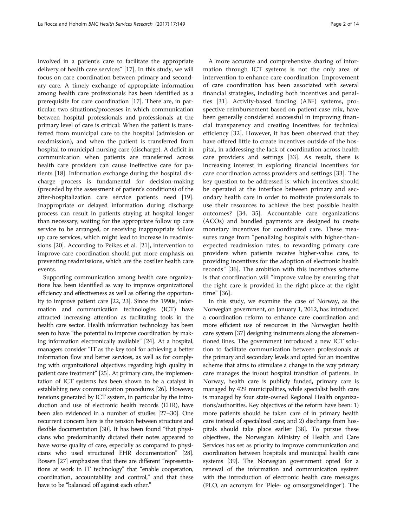involved in a patient's care to facilitate the appropriate delivery of health care services" [\[17\]](#page-12-0). In this study, we will focus on care coordination between primary and secondary care. A timely exchange of appropriate information among health care professionals has been identified as a prerequisite for care coordination [[17](#page-12-0)]. There are, in particular, two situations/processes in which communication between hospital professionals and professionals at the primary level of care is critical: When the patient is transferred from municipal care to the hospital (admission or readmission), and when the patient is transferred from hospital to municipal nursing care (discharge). A deficit in communication when patients are transferred across health care providers can cause ineffective care for patients [\[18\]](#page-12-0). Information exchange during the hospital discharge process is fundamental for decision-making (preceded by the assessment of patient's conditions) of the after-hospitalization care service patients need [[19](#page-12-0)]. Inappropriate or delayed information during discharge process can result in patients staying at hospital longer than necessary, waiting for the appropriate follow up care service to be arranged, or receiving inappropriate follow up care services, which might lead to increase in readmissions [\[20\]](#page-12-0). According to Peikes et al. [\[21\]](#page-12-0), intervention to improve care coordination should put more emphasis on preventing readmissions, which are the costlier health care events.

Supporting communication among health care organizations has been identified as way to improve organizational efficiency and effectiveness as well as offering the opportunity to improve patient care [\[22](#page-12-0), [23\]](#page-12-0). Since the 1990s, information and communication technologies (ICT) have attracted increasing attention as facilitating tools in the health care sector. Health information technology has been seen to have "the potential to improve coordination by making information electronically available" [\[24](#page-12-0)]. At a hospital, managers consider "IT as the key tool for achieving a better information flow and better services, as well as for complying with organizational objectives regarding high quality in patient care treatment" [\[25](#page-12-0)]. At primary care, the implementation of ICT systems has been shown to be a catalyst in establishing new communication procedures [\[26](#page-12-0)]. However, tensions generated by ICT system, in particular by the introduction and use of electronic health records (EHR), have been also evidenced in a number of studies [\[27](#page-12-0)–[30\]](#page-12-0). One recurrent concern here is the tension between structure and flexible documentation [[30](#page-12-0)]. It has been found "that physicians who predominantly dictated their notes appeared to have worse quality of care, especially as compared to physicians who used structured EHR documentation" [\[28](#page-12-0)]. Bossen [[27\]](#page-12-0) emphasizes that there are different "representations at work in IT technology" that "enable cooperation, coordination, accountability and control," and that these have to be "balanced off against each other."

A more accurate and comprehensive sharing of information through ICT systems is not the only area of intervention to enhance care coordination. Improvement of care coordination has been associated with several financial strategies, including both incentives and penalties [[31\]](#page-12-0). Activity-based funding (ABF) systems, prospective reimbursement based on patient case mix, have been generally considered successful in improving financial transparency and creating incentives for technical efficiency [[32\]](#page-12-0). However, it has been observed that they have offered little to create incentives outside of the hospital, in addressing the lack of coordination across health care providers and settings [[33](#page-12-0)]. As result, there is increasing interest in exploring financial incentives for care coordination across providers and settings [\[33](#page-12-0)]. The key question to be addressed is: which incentives should be operated at the interface between primary and secondary health care in order to motivate professionals to use their resources to achieve the best possible health outcomes? [[34](#page-12-0), [35\]](#page-12-0). Accountable care organizations (ACOs) and bundled payments are designed to create monetary incentives for coordinated care. These measures range from "penalizing hospitals with higher-thanexpected readmission rates, to rewarding primary care providers when patients receive higher-value care, to providing incentives for the adoption of electronic health records" [\[36](#page-12-0)]. The ambition with this incentives scheme is that coordination will "improve value by ensuring that the right care is provided in the right place at the right time" [[36\]](#page-12-0).

In this study, we examine the case of Norway, as the Norwegian government, on January 1, 2012, has introduced a coordination reform to enhance care coordination and more efficient use of resources in the Norwegian health care system [\[37\]](#page-12-0) designing instruments along the aforementioned lines. The government introduced a new ICT solution to facilitate communication between professionals at the primary and secondary levels and opted for an incentive scheme that aims to stimulate a change in the way primary care manages the in/out hospital transition of patients. In Norway, health care is publicly funded, primary care is managed by 429 municipalities, while specialist health care is managed by four state-owned Regional Health organizations/authorities. Key objectives of the reform have been: 1) more patients should be taken care of in primary health care instead of specialized care; and 2) discharge from hospitals should take place earlier [[38](#page-12-0)]. To pursue these objectives, the Norwegian Ministry of Health and Care Services has set as priority to improve communication and coordination between hospitals and municipal health care systems [\[39](#page-12-0)]. The Norwegian government opted for a renewal of the information and communication system with the introduction of electronic health care messages (PLO, an acronym for 'Pleie- og omsorgsmeldinger'). The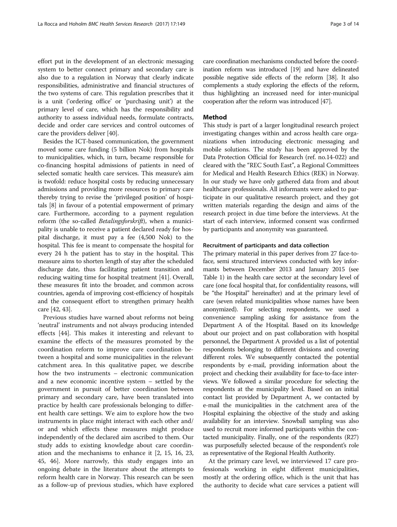effort put in the development of an electronic messaging system to better connect primary and secondary care is also due to a regulation in Norway that clearly indicate responsibilities, administrative and financial structures of the two systems of care. This regulation prescribes that it is a unit ('ordering office' or 'purchasing unit') at the primary level of care, which has the responsibility and authority to assess individual needs, formulate contracts, decide and order care services and control outcomes of care the providers deliver [[40](#page-12-0)].

Besides the ICT-based communication, the government moved some care funding (5 billion Nok) from hospitals to municipalities, which, in turn, became responsible for co-financing hospital admissions of patients in need of selected somatic health care services. This measure's aim is twofold: reduce hospital costs by reducing unnecessary admissions and providing more resources to primary care thereby trying to revise the 'privileged position' of hospitals [[8\]](#page-11-0) in favour of a potential empowerment of primary care. Furthermore, according to a payment regulation reform (the so-called Betalingsforskrift), when a municipality is unable to receive a patient declared ready for hospital discharge, it must pay a fee (4,500 Nok) to the hospital. This fee is meant to compensate the hospital for every 24 h the patient has to stay in the hospital. This measure aims to shorten length of stay after the scheduled discharge date, thus facilitating patient transition and reducing waiting time for hospital treatment [[41](#page-12-0)]. Overall, these measures fit into the broader, and common across countries, agenda of improving cost-efficiency of hospitals and the consequent effort to strengthen primary health care [\[42, 43\]](#page-12-0).

Previous studies have warned about reforms not being 'neutral' instruments and not always producing intended effects [\[44\]](#page-12-0). This makes it interesting and relevant to examine the effects of the measures promoted by the coordination reform to improve care coordination between a hospital and some municipalities in the relevant catchment area. In this qualitative paper, we describe how the two instruments – electronic communication and a new economic incentive system – settled by the government in pursuit of better coordination between primary and secondary care, have been translated into practice by health care professionals belonging to different health care settings. We aim to explore how the two instruments in place might interact with each other and/ or and which effects these measures might produce independently of the declared aim ascribed to them. Our study adds to existing knowledge about care coordination and the mechanisms to enhance it [\[2](#page-11-0), [15](#page-11-0), [16](#page-12-0), [23](#page-12-0), [45, 46\]](#page-12-0). More narrowly, this study engages into an ongoing debate in the literature about the attempts to reform health care in Norway. This research can be seen as a follow-up of previous studies, which have explored

care coordination mechanisms conducted before the coordination reform was introduced [\[19](#page-12-0)] and have delineated possible negative side effects of the reform [[38](#page-12-0)]. It also complements a study exploring the effects of the reform, thus highlighting an increased need for inter-municipal cooperation after the reform was introduced [\[47](#page-12-0)].

## Method

This study is part of a larger longitudinal research project investigating changes within and across health care organizations when introducing electronic messaging and mobile solutions. The study has been approved by the Data Protection Official for Research (ref. no.14-022) and cleared with the "REC South East", a Regional Committees for Medical and Health Research Ethics (REK) in Norway. In our study we have only gathered data from and about healthcare professionals. All informants were asked to participate in our qualitative research project, and they got written materials regarding the design and aims of the research project in due time before the interviews. At the start of each interview, informed consent was confirmed by participants and anonymity was guaranteed.

# Recruitment of participants and data collection

The primary material in this paper derives from 27 face-toface, semi structured interviews conducted with key informants between December 2013 and January 2015 (see Table [1\)](#page-3-0) in the health care sector at the secondary level of care (one focal hospital that, for confidentiality reasons, will be "the Hospital" hereinafter) and at the primary level of care (seven related municipalities whose names have been anonymized). For selecting respondents, we used a convenience sampling asking for assistance from the Department A of the Hospital. Based on its knowledge about our project and on past collaboration with hospital personnel, the Department A provided us a list of potential respondents belonging to different divisions and covering different roles. We subsequently contacted the potential respondents by e-mail, providing information about the project and checking their availability for face-to-face interviews. We followed a similar procedure for selecting the respondents at the municipality level. Based on an initial contact list provided by Department A, we contacted by e-mail the municipalities in the catchment area of the Hospital explaining the objective of the study and asking availability for an interview. Snowball sampling was also used to recruit more informed participants within the contacted municipality. Finally, one of the respondents (R27) was purposefully selected because of the respondent's role as representative of the Regional Health Authority.

At the primary care level, we interviewed 17 care professionals working in eight different municipalities, mostly at the ordering office, which is the unit that has the authority to decide what care services a patient will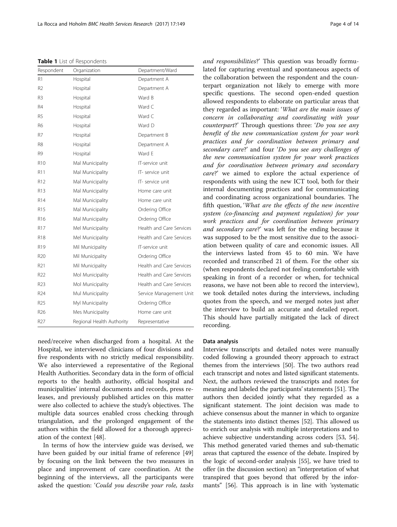<span id="page-3-0"></span>Table 1 List of Respondents

| Respondent      | Organization              | Department/Ward          |
|-----------------|---------------------------|--------------------------|
| R1              | Hospital                  | Department A             |
| R <sub>2</sub>  | Hospital                  | Department A             |
| R <sub>3</sub>  | Hospital                  | Ward B                   |
| R4              | Hospital                  | Ward C                   |
| R <sub>5</sub>  | Hospital                  | Ward C                   |
| R6              | Hospital                  | Ward D                   |
| R7              | Hospital                  | Department B             |
| R8              | Hospital                  | Department A             |
| R9              | Hospital                  | Ward F                   |
| R <sub>10</sub> | Mal Municipality          | IT-service unit          |
| R11             | Mal Municipality          | IT- service unit         |
| R12             | Mal Municipality          | IT- service unit         |
| R <sub>13</sub> | Mal Municipality          | Home care unit           |
| R14             | Mal Municipality          | Home care unit           |
| R15             | Mal Municipality          | Ordering Office          |
| R <sub>16</sub> | Mal Municipality          | Ordering Office          |
| R17             | Mel Municipality          | Health and Care Services |
| R18             | Mel Municipality          | Health and Care Services |
| R <sub>19</sub> | Mil Municipality          | IT-service unit          |
| R <sub>20</sub> | Mil Municipality          | Ordering Office          |
| R21             | Mil Municipality          | Health and Care Services |
| R <sub>22</sub> | Mol Municipality          | Health and Care Services |
| R <sub>23</sub> | Mol Municipality          | Health and Care Services |
| R24             | Mul Municipality          | Service Management Unit  |
| R <sub>25</sub> | Myl Municipality          | Ordering Office          |
| R <sub>26</sub> | Mes Municipality          | Home care unit           |
| R27             | Regional Health Authority | Representative           |

need/receive when discharged from a hospital. At the Hospital, we interviewed clinicians of four divisions and five respondents with no strictly medical responsibility. We also interviewed a representative of the Regional Health Authorities. Secondary data in the form of official reports to the health authority, official hospital and municipalities' internal documents and records, press releases, and previously published articles on this matter were also collected to achieve the study's objectives. The multiple data sources enabled cross checking through triangulation, and the prolonged engagement of the authors within the field allowed for a thorough appreciation of the context [[48\]](#page-12-0).

In terms of how the interview guide was devised, we have been guided by our initial frame of reference [[49](#page-12-0)] by focusing on the link between the two measures in place and improvement of care coordination. At the beginning of the interviews, all the participants were asked the question: 'Could you describe your role, tasks and responsibilities?' This question was broadly formulated for capturing eventual and spontaneous aspects of the collaboration between the respondent and the counterpart organization not likely to emerge with more specific questions. The second open-ended question allowed respondents to elaborate on particular areas that they regarded as important: 'What are the main issues of concern in collaborating and coordinating with your counterpart?' Through questions three: 'Do you see any benefit of the new communication system for your work practices and for coordination between primary and secondary care?' and four 'Do you see any challenges of the new communication system for your work practices and for coordination between primary and secondary care?' we aimed to explore the actual experience of respondents with using the new ICT tool, both for their internal documenting practices and for communicating and coordinating across organizational boundaries. The fifth question, 'What are the effects of the new incentive system (co-financing and payment regulation) for your work practices and for coordination between primary and secondary care?' was left for the ending because it was supposed to be the most sensitive due to the association between quality of care and economic issues. All the interviews lasted from 45 to 60 min. We have recorded and transcribed 21 of them. For the other six (when respondents declared not feeling comfortable with speaking in front of a recorder or when, for technical reasons, we have not been able to record the interview), we took detailed notes during the interviews, including quotes from the speech, and we merged notes just after the interview to build an accurate and detailed report. This should have partially mitigated the lack of direct recording.

# Data analysis

Interview transcripts and detailed notes were manually coded following a grounded theory approach to extract themes from the interviews [\[50](#page-12-0)]. The two authors read each transcript and notes and listed significant statements. Next, the authors reviewed the transcripts and notes for meaning and labeled the participants' statements [\[51\]](#page-12-0). The authors then decided jointly what they regarded as a significant statement. The joint decision was made to achieve consensus about the manner in which to organize the statements into distinct themes [[52](#page-12-0)]. This allowed us to enrich our analysis with multiple interpretations and to achieve subjective understanding across coders [\[53](#page-12-0), [54](#page-12-0)]. This method generated varied themes and sub-thematic areas that captured the essence of the debate. Inspired by the logic of second-order analysis [\[55\]](#page-12-0), we have tried to offer (in the [discussion section](#page-8-0)) an "interpretation of what transpired that goes beyond that offered by the informants" [\[56](#page-12-0)]. This approach is in line with 'systematic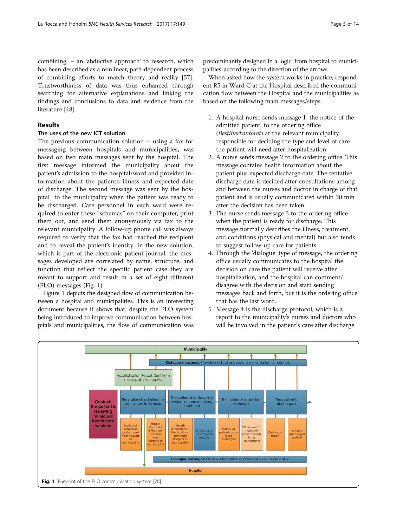combining' – an 'abductive approach' to research, which has been described as a nonlinear, path-dependent process of combining efforts to match theory and reality [[57](#page-12-0)]. Trustworthiness of data was thus enhanced through searching for alternative explanations and linking the findings and conclusions to data and evidence from the literature [[48](#page-12-0)].

# Results

# The uses of the new ICT solution

The previous communication solution – using a fax for messaging between hospitals and municipalities, was based on two main messages sent by the hospital. The first message informed the municipality about the patient's admission to the hospital/ward and provided information about the patient's illness and expected date of discharge. The second message was sent by the hospital to the municipality when the patient was ready to be discharged. Care personnel in each ward were required to enter these "schemas" on their computer, print them out, and send them anonymously via fax to the relevant municipality. A follow-up phone call was always required to verify that the fax had reached the recipient and to reveal the patient's identity. In the new solution, which is part of the electronic patient journal, the messages developed are correlated by name, structure, and function that reflect the specific patient case they are meant to support and result in a set of eight different (PLO) messages (Fig. 1).

Figure 1 depicts the designed flow of communication between a hospital and municipalities. This is an interesting document because it shows that, despite the PLO system being introduced to improve communication between hospitals and municipalities, the flow of communication was

predominantly designed in a logic 'from hospital to municipalities' according to the direction of the arrows.

When asked how the system works in practice, respondent R5 in Ward C at the Hospital described the communication flow between the Hospital and the municipalities as based on the following main messages/steps:

- 1. A hospital nurse sends message 1, the notice of the admitted patient, to the ordering office (Bestillerkontoret) at the relevant municipality responsible for deciding the type and level of care the patient will need after hospitalization.
- 2. A nurse sends message 2 to the ordering office. This message contains health information about the patient plus expected discharge date. The tentative discharge date is decided after consultations among and between the nurses and doctor in charge of that patient and is usually communicated within 30 min after the decision has been taken.
- 3. The nurse sends message 3 to the ordering office when the patient is ready for discharge. This message normally describes the illness, treatment, and conditions (physical and mental) but also tends to suggest follow-up care for patients.
- 4. Through the 'dialogue' type of message, the ordering office usually communicates to the hospital the decision on care the patient will receive after hospitalization, and the hospital can comment/ disagree with the decision and start sending messages back and forth, but it is the ordering office that has the last word.
- 5. Message 4 is the discharge protocol, which is a report to the municipality's nurses and doctors who will be involved in the patient's care after discharge.

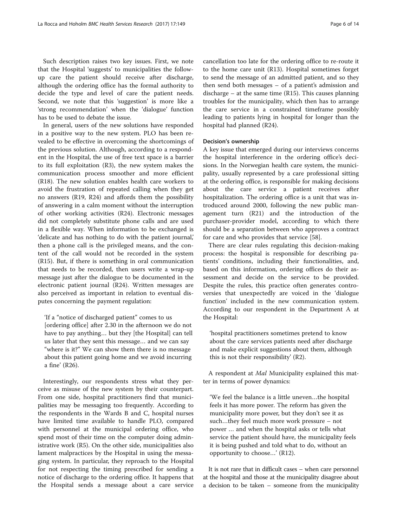Such description raises two key issues. First, we note that the Hospital 'suggests' to municipalities the followup care the patient should receive after discharge, although the ordering office has the formal authority to decide the type and level of care the patient needs. Second, we note that this 'suggestion' is more like a 'strong recommendation' when the 'dialogue' function has to be used to debate the issue.

In general, users of the new solutions have responded in a positive way to the new system. PLO has been revealed to be effective in overcoming the shortcomings of the previous solution. Although, according to a respondent in the Hospital, the use of free text space is a barrier to its full exploitation (R3), the new system makes the communication process smoother and more efficient (R18). The new solution enables health care workers to avoid the frustration of repeated calling when they get no answers (R19, R24) and affords them the possibility of answering in a calm moment without the interruption of other working activities (R24). Electronic messages did not completely substitute phone calls and are used in a flexible way. When information to be exchanged is 'delicate and has nothing to do with the patient journal,' then a phone call is the privileged means, and the content of the call would not be recorded in the system (R15). But, if there is something in oral communication that needs to be recorded, then users write a wrap-up message just after the dialogue to be documented in the electronic patient journal (R24). Written messages are also perceived as important in relation to eventual disputes concerning the payment regulation:

'If a "notice of discharged patient" comes to us

[ordering office] after 2.30 in the afternoon we do not have to pay anything… but they [the Hospital] can tell us later that they sent this message… and we can say "where is it?" We can show them there is no message about this patient going home and we avoid incurring a fine' (R26).

Interestingly, our respondents stress what they perceive as misuse of the new system by their counterpart. From one side, hospital practitioners find that municipalities may be messaging too frequently. According to the respondents in the Wards B and C, hospital nurses have limited time available to handle PLO, compared with personnel at the municipal ordering office, who spend most of their time on the computer doing administrative work (R5). On the other side, municipalities also lament malpractices by the Hospital in using the messaging system. In particular, they reproach to the Hospital for not respecting the timing prescribed for sending a notice of discharge to the ordering office. It happens that the Hospital sends a message about a care service

cancellation too late for the ordering office to re-route it to the home care unit (R13). Hospital sometimes forget to send the message of an admitted patient, and so they then send both messages – of a patient's admission and discharge – at the same time (R15). This causes planning troubles for the municipality, which then has to arrange the care service in a constrained timeframe possibly leading to patients lying in hospital for longer than the hospital had planned (R24).

## Decision's ownership

A key issue that emerged during our interviews concerns the hospital interference in the ordering office's decisions. In the Norwegian health care system, the municipality, usually represented by a care professional sitting at the ordering office, is responsible for making decisions about the care service a patient receives after hospitalization. The ordering office is a unit that was introduced around 2000, following the new public management turn (R21) and the introduction of the purchaser-provider model, according to which there should be a separation between who approves a contract for care and who provides that service [[58\]](#page-12-0).

There are clear rules regulating this decision-making process: the hospital is responsible for describing patients' conditions, including their functionalities, and, based on this information, ordering offices do their assessment and decide on the service to be provided. Despite the rules, this practice often generates controversies that unexpectedly are voiced in the 'dialogue function' included in the new communication system. According to our respondent in the Department A at the Hospital:

'hospital practitioners sometimes pretend to know about the care services patients need after discharge and make explicit suggestions about them, although this is not their responsibility' (R2).

A respondent at Mal Municipality explained this matter in terms of power dynamics:

'We feel the balance is a little uneven…the hospital feels it has more power. The reform has given the municipality more power, but they don't see it as such…they feel much more work pressure – not power … and when the hospital asks or tells what service the patient should have, the municipality feels it is being pushed and told what to do, without an opportunity to choose…' (R12).

It is not rare that in difficult cases – when care personnel at the hospital and those at the municipality disagree about a decision to be taken – someone from the municipality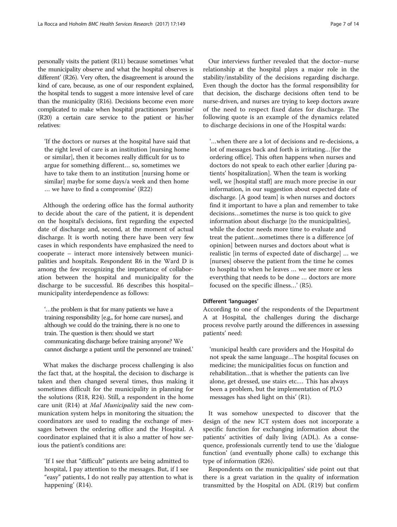personally visits the patient (R11) because sometimes 'what the municipality observe and what the hospital observes is different' (R26). Very often, the disagreement is around the kind of care, because, as one of our respondent explained, the hospital tends to suggest a more intensive level of care than the municipality (R16). Decisions become even more complicated to make when hospital practitioners 'promise' (R20) a certain care service to the patient or his/her relatives:

'If the doctors or nurses at the hospital have said that the right level of care is an institution [nursing home or similar], then it becomes really difficult for us to argue for something different… so, sometimes we have to take them to an institution [nursing home or similar] maybe for some days/a week and then home … we have to find a compromise' (R22)

Although the ordering office has the formal authority to decide about the care of the patient, it is dependent on the hospital's decisions, first regarding the expected date of discharge and, second, at the moment of actual discharge. It is worth noting there have been very few cases in which respondents have emphasized the need to cooperate – interact more intensively between municipalities and hospitals. Respondent R6 in the Ward D is among the few recognizing the importance of collaboration between the hospital and municipality for the discharge to be successful. R6 describes this hospital– municipality interdependence as follows:

'…the problem is that for many patients we have a training responsibility [e.g., for home care nurses], and although we could do the training, there is no one to train. The question is then: should we start communicating discharge before training anyone? We cannot discharge a patient until the personnel are trained.'

What makes the discharge process challenging is also the fact that, at the hospital, the decision to discharge is taken and then changed several times, thus making it sometimes difficult for the municipality in planning for the solutions (R18, R24). Still, a respondent in the home care unit (R14) at *Mal Municipality* said the new communication system helps in monitoring the situation; the coordinators are used to reading the exchange of messages between the ordering office and the Hospital. A coordinator explained that it is also a matter of how serious the patient's conditions are:

'If I see that "difficult" patients are being admitted to hospital, I pay attention to the messages. But, if I see "easy" patients, I do not really pay attention to what is happening' (R14).

Our interviews further revealed that the doctor–nurse relationship at the hospital plays a major role in the stability/instability of the decisions regarding discharge. Even though the doctor has the formal responsibility for that decision, the discharge decisions often tend to be nurse-driven, and nurses are trying to keep doctors aware of the need to respect fixed dates for discharge. The following quote is an example of the dynamics related to discharge decisions in one of the Hospital wards:

'…when there are a lot of decisions and re-decisions, a lot of messages back and forth is irritating…[for the ordering office]. This often happens when nurses and doctors do not speak to each other earlier [during patients' hospitalization]. When the team is working well, we [hospital staff] are much more precise in our information, in our suggestion about expected date of discharge. [A good team] is when nurses and doctors find it important to have a plan and remember to take decisions…sometimes the nurse is too quick to give information about discharge [to the municipalities], while the doctor needs more time to evaluate and treat the patient…sometimes there is a difference [of opinion] between nurses and doctors about what is realistic [in terms of expected date of discharge] … we [nurses] observe the patient from the time he comes to hospital to when he leaves … we see more or less everything that needs to be done … doctors are more focused on the specific illness…' (R5).

# Different 'languages'

According to one of the respondents of the Department A at Hospital, the challenges during the discharge process revolve partly around the differences in assessing patients' need:

'municipal health care providers and the Hospital do not speak the same language…The hospital focuses on medicine; the municipalities focus on function and rehabilitation…that is whether the patients can live alone, get dressed, use stairs etc.… This has always been a problem, but the implementation of PLO messages has shed light on this' (R1).

It was somehow unexpected to discover that the design of the new ICT system does not incorporate a specific function for exchanging information about the patients' activities of daily living (ADL). As a consequence, professionals currently tend to use the 'dialogue function' (and eventually phone calls) to exchange this type of information (R26).

Respondents on the municipalities' side point out that there is a great variation in the quality of information transmitted by the Hospital on ADL (R19) but confirm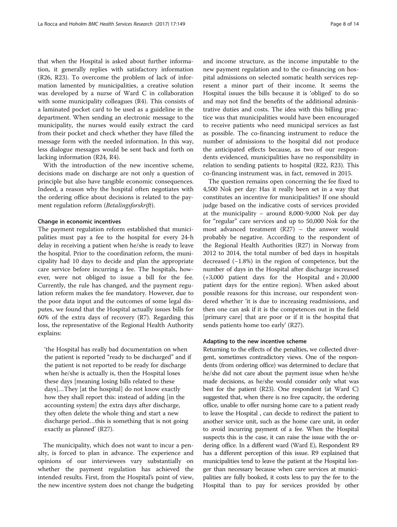that when the Hospital is asked about further information, it generally replies with satisfactory information (R26, R23). To overcome the problem of lack of information lamented by municipalities, a creative solution was developed by a nurse of Ward C in collaboration with some municipality colleagues (R4). This consists of a laminated pocket card to be used as a guideline in the department. When sending an electronic message to the municipality, the nurses would easily extract the card from their pocket and check whether they have filled the message form with the needed information. In this way, less dialogue messages would be sent back and forth on lacking information (R24, R4).

With the introduction of the new incentive scheme, decisions made on discharge are not only a question of principle but also have tangible economic consequences. Indeed, a reason why the hospital often negotiates with the ordering office about decisions is related to the payment regulation reform (Betalingsforskrift).

## Change in economic incentives

The payment regulation reform established that municipalities must pay a fee to the hospital for every 24-h delay in receiving a patient when he/she is ready to leave the hospital. Prior to the coordination reform, the municipality had 10 days to decide and plan the appropriate care service before incurring a fee. The hospitals, however, were not obliged to issue a bill for the fee. Currently, the rule has changed, and the payment regulation reform makes the fee mandatory. However, due to the poor data input and the outcomes of some legal disputes, we found that the Hospital actually issues bills for 60% of the extra days of recovery (R7). Regarding this loss, the representative of the Regional Health Authority explains:

'the Hospital has really bad documentation on when the patient is reported "ready to be discharged" and if the patient is not reported to be ready for discharge when he/she is actually is, then the Hospital loses these days [meaning losing bills related to these days]…They [at the hospital] do not know exactly how they shall report this: instead of adding [in the accounting system] the extra days after discharge, they often delete the whole thing and start a new discharge period…this is something that is not going exactly as planned' (R27).

The municipality, which does not want to incur a penalty, is forced to plan in advance. The experience and opinions of our interviewees vary substantially on whether the payment regulation has achieved the intended results. First, from the Hospital's point of view, the new incentive system does not change the budgeting and income structure, as the income imputable to the new payment regulation and to the co-financing on hospital admissions on selected somatic health services represent a minor part of their income. It seems the Hospital issues the bills because it is 'obliged' to do so and may not find the benefits of the additional administrative duties and costs. The idea with this billing practice was that municipalities would have been encouraged to receive patients who need municipal services as fast as possible. The co-financing instrument to reduce the number of admissions to the hospital did not produce the anticipated effects because, as two of our respondents evidenced, municipalities have no responsibility in relation to sending patients to hospital (R22, R23). This co-financing instrument was, in fact, removed in 2015.

The question remains open concerning the fee fixed to 4,500 Nok per day: Has it really been set in a way that constitutes an incentive for municipalities? If one should judge based on the indicative costs of services provided at the municipality – around 8,000-9,000 Nok per day for "regular" care services and up to 50,000 Nok for the most advanced treatment (R27) – the answer would probably be negative. According to the respondent of the Regional Health Authorities (R27) in Norway from 2012 to 2014, the total number of bed days in hospitals decreased (−1.8%) in the region of competence, but the number of days in the Hospital after discharge increased (+3,000 patient days for the Hospital and + 20,000 patient days for the entire region). When asked about possible reasons for this increase, our respondent wondered whether 'it is due to increasing readmissions, and then one can ask if it is the competences out in the field [primary care] that are poor or if it is the hospital that sends patients home too early' (R27).

## Adapting to the new incentive scheme

Returning to the effects of the penalties, we collected divergent, sometimes contradictory views. One of the respondents (from ordering office) was determined to declare that he/she did not care about the payment issue when he/she made decisions, as he/she would consider only what was best for the patient (R23). One respondent (at Ward C) suggested that, when there is no free capacity, the ordering office, unable to offer nursing home care to a patient ready to leave the Hospital , can decide to redirect the patient to another service unit, such as the home care unit, in order to avoid incurring payment of a fee. When the Hospital suspects this is the case, it can raise the issue with the ordering office. In a different ward (Ward E), Respondent R9 has a different perception of this issue. R9 explained that municipalities tend to leave the patient at the Hospital longer than necessary because when care services at municipalities are fully booked, it costs less to pay the fee to the Hospital than to pay for services provided by other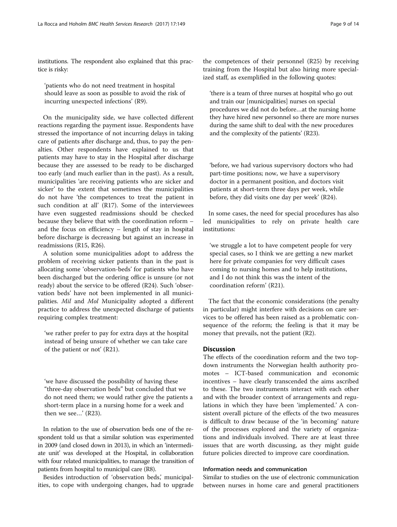<span id="page-8-0"></span>institutions. The respondent also explained that this practice is risky:

'patients who do not need treatment in hospital should leave as soon as possible to avoid the risk of incurring unexpected infections' (R9).

On the municipality side, we have collected different reactions regarding the payment issue. Respondents have stressed the importance of not incurring delays in taking care of patients after discharge and, thus, to pay the penalties. Other respondents have explained to us that patients may have to stay in the Hospital after discharge because they are assessed to be ready to be discharged too early (and much earlier than in the past). As a result, municipalities 'are receiving patients who are sicker and sicker' to the extent that sometimes the municipalities do not have 'the competences to treat the patient in such condition at all' (R17). Some of the interviewees have even suggested readmissions should be checked because they believe that with the coordination reform – and the focus on efficiency – length of stay in hospital before discharge is decreasing but against an increase in readmissions (R15, R26).

A solution some municipalities adopt to address the problem of receiving sicker patients than in the past is allocating some 'observation-beds' for patients who have been discharged but the ordering office is unsure (or not ready) about the service to be offered (R24). Such 'observation beds' have not been implemented in all municipalities. Mil and Mol Municipality adopted a different practice to address the unexpected discharge of patients requiring complex treatment:

'we rather prefer to pay for extra days at the hospital instead of being unsure of whether we can take care of the patient or not' (R21).

'we have discussed the possibility of having these "three-day observation beds" but concluded that we do not need them; we would rather give the patients a short-term place in a nursing home for a week and then we see…' (R23).

In relation to the use of observation beds one of the respondent told us that a similar solution was experimented in 2009 (and closed down in 2013), in which an 'intermediate unit' was developed at the Hospital, in collaboration with four related municipalities, to manage the transition of patients from hospital to municipal care (R8).

Besides introduction of 'observation beds,' municipalities, to cope with undergoing changes, had to upgrade 'there is a team of three nurses at hospital who go out and train our [municipalities] nurses on special procedures we did not do before…at the nursing home they have hired new personnel so there are more nurses during the same shift to deal with the new procedures and the complexity of the patients' (R23).

'before, we had various supervisory doctors who had part-time positions; now, we have a supervisory doctor in a permanent position, and doctors visit patients at short-term three days per week, while before, they did visits one day per week' (R24).

In some cases, the need for special procedures has also led municipalities to rely on private health care institutions:

'we struggle a lot to have competent people for very special cases, so I think we are getting a new market here for private companies for very difficult cases coming to nursing homes and to help institutions, and I do not think this was the intent of the coordination reform' (R21).

The fact that the economic considerations (the penalty in particular) might interfere with decisions on care services to be offered has been raised as a problematic consequence of the reform; the feeling is that it may be money that prevails, not the patient (R2).

# **Discussion**

The effects of the coordination reform and the two topdown instruments the Norwegian health authority promotes – ICT-based communication and economic incentives – have clearly transcended the aims ascribed to these. The two instruments interact with each other and with the broader context of arrangements and regulations in which they have been 'implemented.' A consistent overall picture of the effects of the two measures is difficult to draw because of the 'in becoming' nature of the processes explored and the variety of organizations and individuals involved. There are at least three issues that are worth discussing, as they might guide future policies directed to improve care coordination.

# Information needs and communication

Similar to studies on the use of electronic communication between nurses in home care and general practitioners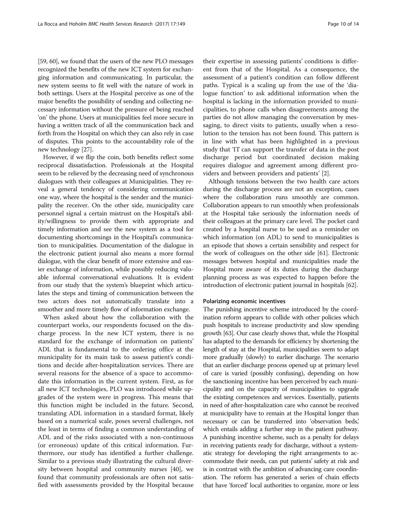[[59](#page-12-0), [60\]](#page-12-0), we found that the users of the new PLO messages recognized the benefits of the new ICT system for exchanging information and communicating. In particular, the new system seems to fit well with the nature of work in both settings. Users at the Hospital perceive as one of the major benefits the possibility of sending and collecting necessary information without the pressure of being reached 'on' the phone. Users at municipalities feel more secure in having a written track of all the communication back and forth from the Hospital on which they can also rely in case of disputes. This points to the accountability role of the new technology [\[27\]](#page-12-0).

However, if we flip the coin, both benefits reflect some reciprocal dissatisfaction. Professionals at the Hospital seem to be relieved by the decreasing need of synchronous dialogues with their colleagues at Municipalities. They reveal a general tendency of considering communication one way, where the hospital is the sender and the municipality the receiver. On the other side, municipality care personnel signal a certain mistrust on the Hospital's ability/willingness to provide them with appropriate and timely information and see the new system as a tool for documenting shortcomings in the Hospital's communication to municipalities. Documentation of the dialogue in the electronic patient journal also means a more formal dialogue, with the clear benefit of more extensive and easier exchange of information, while possibly reducing valuable informal conversational evaluations. It is evident from our study that the system's blueprint which articulates the steps and timing of communication between the two actors does not automatically translate into a smoother and more timely flow of information exchange.

When asked about how the collaboration with the counterpart works, our respondents focused on the discharge process. In the new ICT system, there is no standard for the exchange of information on patients' ADL that is fundamental to the ordering office at the municipality for its main task to assess patient's conditions and decide after-hospitalization services. There are several reasons for the absence of a space to accommodate this information in the current system. First, as for all new ICT technologies, PLO was introduced while upgrades of the system were in progress. This means that this function might be included in the future. Second, translating ADL information in a standard format, likely based on a numerical scale, poses several challenges, not the least in terms of finding a common understanding of ADL and of the risks associated with a non-continuous (or erroneous) update of this critical information. Furthermore, our study has identified a further challenge. Similar to a previous study illustrating the cultural diversity between hospital and community nurses [[40\]](#page-12-0), we found that community professionals are often not satisfied with assessments provided by the Hospital because

their expertise in assessing patients' conditions is different from that of the Hospital. As a consequence, the assessment of a patient's condition can follow different paths. Typical is a scaling up from the use of the 'dialogue function' to ask additional information when the hospital is lacking in the information provided to municipalities, to phone calls when disagreements among the parties do not allow managing the conversation by messaging, to direct visits to patients, usually when a resolution to the tension has not been found. This pattern is in line with what has been highlighted in a previous study that 'IT can support the transfer of data in the post discharge period but coordinated decision making requires dialogue and agreement among different providers and between providers and patients' [[2\]](#page-11-0).

Although tensions between the two health care actors during the discharge process are not an exception, cases where the collaboration runs smoothly are common. Collaboration appears to run smoothly when professionals at the Hospital take seriously the information needs of their colleagues at the primary care level. The pocket card created by a hospital nurse to be used as a reminder on which information (on ADL) to send to municipalities is an episode that shows a certain sensibility and respect for the work of colleagues on the other side [\[61](#page-12-0)]. Electronic messages between hospital and municipalities made the Hospital more aware of its duties during the discharge planning process as was expected to happen before the introduction of electronic patient journal in hospitals [\[62\]](#page-12-0).

# Polarizing economic incentives

The punishing incentive scheme introduced by the coordination reform appears to collide with other policies which push hospitals to increase productivity and slow spending growth [\[63](#page-12-0)]. Our case clearly shows that, while the Hospital has adapted to the demands for efficiency by shortening the length of stay at the Hospital, municipalities seem to adapt more gradually (slowly) to earlier discharge. The scenario that an earlier discharge process opened up at primary level of care is varied (possibly confusing), depending on how the sanctioning incentive has been perceived by each municipality and on the capacity of municipalities to upgrade the existing competences and services. Essentially, patients in need of after-hospitalization care who cannot be received at municipality have to remain at the Hospital longer than necessary or can be transferred into 'observation beds,' which entails adding a further step in the patient pathway. A punishing incentive scheme, such as a penalty for delays in receiving patients ready for discharge, without a systematic strategy for developing the right arrangements to accommodate their needs, can put patients' safety at risk and is in contrast with the ambition of advancing care coordination. The reform has generated a series of chain effects that have 'forced' local authorities to organize, more or less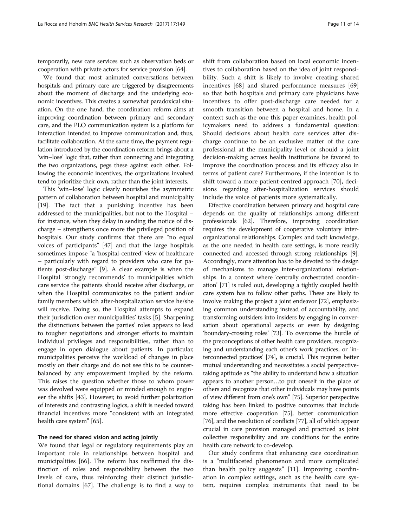temporarily, new care services such as observation beds or cooperation with private actors for service provision [[64](#page-12-0)].

We found that most animated conversations between hospitals and primary care are triggered by disagreements about the moment of discharge and the underlying economic incentives. This creates a somewhat paradoxical situation. On the one hand, the coordination reform aims at improving coordination between primary and secondary care, and the PLO communication system is a platform for interaction intended to improve communication and, thus, facilitate collaboration. At the same time, the payment regulation introduced by the coordination reform brings about a 'win–lose' logic that, rather than connecting and integrating the two organizations, pegs these against each other. Following the economic incentives, the organizations involved tend to prioritize their own, rather than the joint interests.

This 'win–lose' logic clearly nourishes the asymmetric pattern of collaboration between hospital and municipality [[19](#page-12-0)]. The fact that a punishing incentive has been addressed to the municipalities, but not to the Hospital – for instance, when they delay in sending the notice of discharge – strengthens once more the privileged position of hospitals. Our study confirms that there are "no equal voices of participants" [[47](#page-12-0)] and that the large hospitals sometimes impose "a 'hospital-centred' view of healthcare – particularly with regard to providers who care for patients post-discharge" [[9](#page-11-0)]. A clear example is when the Hospital 'strongly recommends' to municipalities which care service the patients should receive after discharge, or when the Hospital communicates to the patient and/or family members which after-hospitalization service he/she will receive. Doing so, the Hospital attempts to expand their jurisdiction over municipalities' tasks [\[5](#page-11-0)]. Sharpening the distinctions between the parties' roles appears to lead to tougher negotiations and stronger efforts to maintain individual privileges and responsibilities, rather than to engage in open dialogue about patients. In particular, municipalities perceive the workload of changes in place mostly on their charge and do not see this to be counterbalanced by any empowerment implied by the reform. This raises the question whether those to whom power was devolved were equipped or minded enough to engineer the shifts [\[43\]](#page-12-0). However, to avoid further polarization of interests and contrasting logics, a shift is needed toward financial incentives more "consistent with an integrated health care system" [[65](#page-12-0)].

## The need for shared vision and acting jointly

We found that legal or regulatory requirements play an important role in relationships between hospital and municipalities [\[66](#page-12-0)]. The reform has reaffirmed the distinction of roles and responsibility between the two levels of care, thus reinforcing their distinct jurisdictional domains [[67](#page-12-0)]. The challenge is to find a way to

shift from collaboration based on local economic incentives to collaboration based on the idea of joint responsibility. Such a shift is likely to involve creating shared incentives [\[68](#page-13-0)] and shared performance measures [[69](#page-13-0)] so that both hospitals and primary care physicians have incentives to offer post-discharge care needed for a smooth transition between a hospital and home. In a context such as the one this paper examines, health policymakers need to address a fundamental question: Should decisions about health care services after discharge continue to be an exclusive matter of the care professional at the municipality level or should a joint decision-making across health institutions be favored to improve the coordination process and its efficacy also in terms of patient care? Furthermore, if the intention is to shift toward a more patient-centred approach [[70\]](#page-13-0), decisions regarding after-hospitalization services should include the voice of patients more systematically.

Effective coordination between primary and hospital care depends on the quality of relationships among different professionals [[62](#page-12-0)]. Therefore, improving coordination requires the development of cooperative voluntary interorganizational relationships. Complex and tacit knowledge, as the one needed in health care settings, is more readily connected and accessed through strong relationships [[9](#page-11-0)]. Accordingly, more attention has to be devoted to the design of mechanisms to manage inter-organizational relationships. In a context where 'centrally orchestrated coordination' [\[71\]](#page-13-0) is ruled out, developing a tightly coupled health care system has to follow other paths. These are likely to involve making the project a joint endeavor [\[72\]](#page-13-0), emphasizing common understanding instead of accountability, and transforming outsiders into insiders by engaging in conversation about operational aspects or even by designing 'boundary-crossing roles' [\[73](#page-13-0)]. To overcome the hurdle of the preconceptions of other health care providers, recognizing and understanding each other's work practices, or 'interconnected practices' [\[74\]](#page-13-0), is crucial. This requires better mutual understanding and necessitates a social perspectivetaking aptitude as "the ability to understand how a situation appears to another person…to put oneself in the place of others and recognize that other individuals may have points of view different from one's own" [\[75\]](#page-13-0). Superior perspective taking has been linked to positive outcomes that include more effective cooperation [\[75\]](#page-13-0), better communication [[76](#page-13-0)], and the resolution of conflicts [\[77\]](#page-13-0), all of which appear crucial in care provision managed and practiced as joint collective responsibility and are conditions for the entire health care network to co-develop.

Our study confirms that enhancing care coordination is a "multifaceted phenomenon and more complicated than health policy suggests" [[11\]](#page-11-0). Improving coordination in complex settings, such as the health care system, requires complex instruments that need to be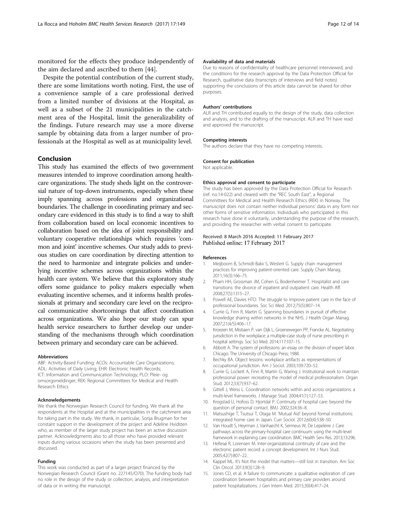<span id="page-11-0"></span>monitored for the effects they produce independently of the aim declared and ascribed to them [[44\]](#page-12-0).

Despite the potential contribution of the current study, there are some limitations worth noting. First, the use of a convenience sample of a care professional derived from a limited number of divisions at the Hospital, as well as a subset of the 21 municipalities in the catchment area of the Hospital, limit the generalizability of the findings. Future research may use a more diverse sample by obtaining data from a larger number of professionals at the Hospital as well as at municipality level.

# Conclusion

This study has examined the effects of two government measures intended to improve coordination among healthcare organizations. The study sheds light on the controversial nature of top-down instruments, especially when these imply spanning across professions and organizational boundaries. The challenge in coordinating primary and secondary care evidenced in this study is to find a way to shift from collaboration based on local economic incentives to collaboration based on the idea of joint responsibility and voluntary cooperative relationships which requires 'common and joint' incentive schemes. Our study adds to previous studies on care coordination by directing attention to the need to harmonize and integrate policies and underlying incentive schemes across organizations within the health care system. We believe that this exploratory study offers some guidance to policy makers especially when evaluating incentive schemes, and it informs health professionals at primary and secondary care level on the reciprocal communicative shortcomings that affect coordination across organizations. We also hope our study can spur health service researchers to further develop our understanding of the mechanisms through which coordination between primary and secondary care can be achieved.

#### Abbreviations

ABF: Activity-Based Funding; ACOs: Accountable Care Organizations; ADL: Activities of Daily Living; EHR: Electronic Health Records; ICT: Information and Communication Technology; PLO: Pleie- og omsorgsmeldinger; REK: Regional Committees for Medical and Health Research Ethics

#### Acknowledgements

We thank the Norwegian Research Council for funding. We thank all the respondents at the Hospital and at the municipalities in the catchment area for taking part in the study. We thank, in particular, Sonja Brugman for her constant support in the development of the project and Adeline Hvidsten who, as member of the larger study project has been an active discussion partner. Acknowledgments also to all those who have provided relevant inputs during various occasions when the study has been presented and discussed.

#### Funding

This work was conducted as part of a larger project financed by the Norwegian Research Council (Grant no. 227145/O70). The funding body had no role in the design of the study or collection, analysis, and interpretation of data or in writing the manuscript.

## Availability of data and materials

Due to reasons of confidentiality of healthcare personnel interviewed, and the conditions for the research approval by the Data Protection Official for Research, qualitative data (transcripts of interviews and field notes) supporting the conclusions of this article data cannot be shared for other purposes.

#### Authors' contributions

ALR and TH contributed equally to the design of the study, data collection and analysis, and to the drafting of the manuscript. ALR and TH have read and approved the manuscript.

#### Competing interests

The authors declare that they have no competing interests.

#### Consent for publication

Not applicable.

#### Ethics approval and consent to participate

The study has been approved by the Data Protection Official for Research (ref. no.14-022) and cleared with the "REC South East", a Regional Committees for Medical and Health Research Ethics (REK) in Norway. The manuscript does not contain neither individual persons' data in any form nor other forms of sensitive information. Individuals who participated in this research have done it voluntarily, understanding the purpose of the research, and providing the researcher with verbal consent to participate.

#### Received: 8 March 2016 Accepted: 11 February 2017 Published online: 17 February 2017

#### References

- 1. Meijboom B, Schmidt-Bakx S, Westert G. Supply chain management practices for improving patient-oriented care. Supply Chain Manag. 2011;16(3):166–75.
- 2. Pham HH, Grossman JM, Cohen G, Bodenheimer T. Hospitalist and care transitions: the divorce of inpatient and outpatient care. Health Aff. 2008;27(5):1315–27.
- 3. Powell AE, Davies HTO. The struggle to improve patient care in the face of professional boundaries. Soc Sci Med. 2012;75(5):807–14.
- 4. Currie G, Finn R, Martin G. Spanning boundaries in pursuit of effective knowledge sharing within networks in the NHS. J Health Organ Manag. 2007;21(4/5):406–17.
- 5. Kroezen M, Mistiaen P, van Dijk L, Groenewegen PP, Francke AL. Negotiating jurisdiction in the workplace: a multiple-case study of nurse prescribing in hospital settings. Soc Sci Med. 2014;117:107–15.
- 6. Abbott A. The system of professions: an essay on the division of expert labor. Chicago: The University of Chicago Press; 1988.
- 7. Bechky BA. Object lessons: workplace artifacts as representations of occupational jurisdiction. Am J Sociol. 2003;109:720–52.
- 8. Currie G, Lockett A, Finn R, Martin G, Waring J. Institutional work to maintain professional power: recreating the model of medical professionalism. Organ Stud. 2012;33(7):937–62.
- 9. Gittell J, Weiss L. Coordination networks within and across organizations: a multi-level frameworks. J Manage Stud. 2004;41(1):127–53.
- 10. Krogstad U, Hofoss D, Hjortdal P. Continuity of hospital care: beyond the question of personal contact. BMJ. 2002;324:36–8.
- 11. Matsushige T, Tsutsui T, Otaga M. 'Mutual Aid' beyond formal institutions: integrated home care in Japan. Curr Sociol. 2012;60(4):538–50.
- 12. Van Houdt S, Heyrman J, Vanhaecht K, Sermeus W, De Lepeleire J. Care pathways across the primary-hospital care continuum: using the multi-level framework in explaining care coordination. BMC Health Serv Res. 2013;13:296.
- 13. Hellesø R, Lorensen M. Inter-organizational continuity of care and the electronic patient record: a concept development. Int J Nurs Stud. 2005;42(7):807–22.
- 14. Kappel ML. It's Not the model that matters—still lost in transition. Am Soc Clin Oncol. 2013;9(3):128–9.
- 15. Jones CD, et al. A failure to communicate: a qualitative exploration of care coordination between hospitalists and primary care providers around patient hospitalizations. J Gen Intern Med. 2015;30(4):417–24.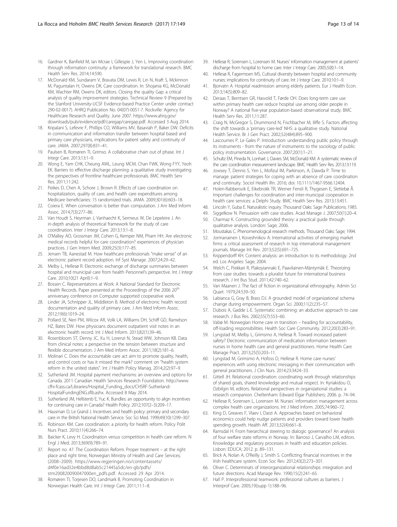- <span id="page-12-0"></span>16. Gardner K, Banfield M, Ian Mcrae I, Gillespie J, Yen L. Improving coordination through information continuity: a framework for translational research. BMC Health Serv Res. 2014;14:590.
- 17. McDonald KM, Sundaram V, Bravata DM, Lewis R, Lin N, Kraft S, Mckinnon M, Paguntalan H, Owens DK. Care coordination. In: Shojania KG, McDonald KM, Wachter RM, Owens DK, editors. Closing the quality Gap: a critical analysis of quality improvement strategies. Technical Review 9 (Prepared by the Stanford University-UCSF Evidence-based Practice Center under contract 290-02-0017). AHRQ Publication No. 04(07)-0051-7. Rockville: Agency for Healthcare Research and Quality. June 2007. [https://www.ahrq.gov/](https://www.ahrq.gov/downloads/pub/evidence/pdf/caregap/caregap.pdf) [downloads/pub/evidence/pdf/caregap/caregap.pdf](https://www.ahrq.gov/downloads/pub/evidence/pdf/caregap/caregap.pdf). Accessed 3 Aug 2014.
- 18. Kripalani S, Lefevre F, Phillips CO, Williams MV, Basaviah P, Baker DW. Deficits in communication and information transfer between hospital based and primary care physicians, implications for patient safety and continuity of care. JAMA. 2007;297(8):831–41.
- 19. Paulsen B, Romøren TI, Grimso. A collaborative chain out of phase. Int J Integr Care. 2013;13:1–9.
- 20. Wong E, Yam CHK, Cheung AWL, Leung MCM, Chan FWK, Wong FYY, Yeoh EK. Barriers to effective discharge planning: a qualitative study investigating the perspectives of frontline healthcare professionals. BMC Health Serv Res. 2011;11:242.
- 21. Peikes D, Chen A, Schore J, Brown R. Effects of care coordination on hospitalization, quality of care, and health care expenditures among Medicare beneficiaries: 15 randomized trials. JAMA. 2009;301(6):603–18.
- 22. Coiera E. When conversation is better than computation. J Am Med Inform Assoc. 2014;7(3):277–86.
- 23. Van Houdt S, Heyrman J, Vanhaecht K, Sermeus W, De Lepeleire J. An in-depth analysis of theoretical framework for the study of care coordination. Inter J Integr Care. 2013;13:1–8.
- 24. O'Malley AO, Grossman JM, Cohen G, Kemper NM, Pham HH. Are electronic medical records helpful for care coordination? experiences of physician practices. J Gen Intern Med. 2009;25(3):177–85.
- 25. Jensen TB, Aanestad M. How healthcare professionals "make sense" of an electronic patient record adoption. Inf Syst Manage. 2007;24:29–42.
- 26. Melby L, Hellesø R. Electronic exchange of discharge summaries between hospital and municipal care from health Personnel's perspective. Int J Integr Care. 2010;10(21 April):1–9.
- 27. Bossen C. Representations at Work: A National Standard for Electronic Health Records. Paper presented at the Proceedings of the 2006 20<sup>th</sup> anniversary conference on Computer supported cooperative work.
- 28. Linder JA, Schnipper JL, Middleton B. Method of electronic health record documentation and quality of primary care. J Am Med Inform Assoc. 2012;19(6):1019–24.
- 29. Pollard SE, Neri PM, Wilcox AR, Volk LA, Williams DH, Schiff GD, Ramelson HZ, Bates DW. How physicians document outpatient visit notes in an electronic health record. Int J Med Inform. 2013;82(1):39–46.
- 30. Rosenbloom ST, Denny JC, Xu H, Lorenzi N, Stead WW, Johnson KB. Data from clinical notes: a perspective on the tension between structure and flexible documentation. J Am Med Inform Assoc. 2011:18(2):181-6.
- 31. Molinari C. Does the accountable care act aim to promote quality, health, and control costs or has it missed the mark? comment on "health system reform in the united states". Int J Health Policy Manag. 2014;2(2):97–9.
- 32. Sutherland JM. Hospital payment mechanisms: an overview and options for Canada. 2011 Canadian Health Services Research Foundation. [http://www.](http://www.cfhi-fcass.ca/Libraries/Hospital_Funding_docs/CHSRF-Sutherland-HospitalFundingENG.sflb.ashx) [cfhi-fcass.ca/Libraries/Hospital\\_Funding\\_docs/CHSRF-Sutherland-](http://www.cfhi-fcass.ca/Libraries/Hospital_Funding_docs/CHSRF-Sutherland-HospitalFundingENG.sflb.ashx)[HospitalFundingENG.sflb.ashx](http://www.cfhi-fcass.ca/Libraries/Hospital_Funding_docs/CHSRF-Sutherland-HospitalFundingENG.sflb.ashx). Accessed 8 May 2014.
- 33. Sutherland JM, Hellstenb E, Yuc K. Bundles: an opportunity to align incentives for continuing care in Canada? Health Policy. 2012;107(2–3):209–17.
- 34. Hausman D, Le Grand J. Incentives and health policy: primary and secondary care in the British National Health Service. Soc Sci Med. 1999;49(10):1299–307.
- 35. Robinson KM. Care coordination: a priority for health reform. Policy Polit Nurs Pract. 2010;11(4):266–74.
- 36. Baicker K, Levy H. Coordination versus competition in health care reform. N Engl J Med. 2013;369(9):789–91.
- 37. Report no. 47. The Coordination Reform. Proper treatment at the right place and right time, Norwegian Ministry of Health and Care Services; (2008–2009). [https://www.regjeringen.no/contentassets/](https://www.regjeringen.no/contentassets/d4f0e16ad32e4bbd8d8ab5c21445a5dc/en-gb/pdfs/stm200820090047000en_pdfs.pdf) [d4f0e16ad32e4bbd8d8ab5c21445a5dc/en-gb/pdfs/](https://www.regjeringen.no/contentassets/d4f0e16ad32e4bbd8d8ab5c21445a5dc/en-gb/pdfs/stm200820090047000en_pdfs.pdf) [stm200820090047000en\\_pdfs.pdf.](https://www.regjeringen.no/contentassets/d4f0e16ad32e4bbd8d8ab5c21445a5dc/en-gb/pdfs/stm200820090047000en_pdfs.pdf) Accessed 29 Apr 2014.
- 38. Romøren TI, Torjesen DO, Landmark B. Promoting Coordination in Norwegian Health Care. Int J Integr Care. 2011;11:1–8.
- 39. Hellesø R, Sorensen L, Lorensen M. Nurses' information management at patients' discharge from hospital to home care. Inter J Integr Care. 2005;5(8):1–14.
- 40. Hellesø R, Fagermoen MS, Cultural diversity between hospital and community nurses: implications for continuity of care. Int J Integr Care. 2010;10:1–9.
- 41. Bjorvatn A. Hospital readmission among elderly patients. Eur J Health Econ. 2013;14(5):809–82.
- 42. Deraas T, Berntsen GR, Hasvold T, Førde OH. Does long-term care use within primary health care reduce hospital use among older people in Norway? A national five-year population-based observational study. BMC Health Serv Res. 2011;11:287.
- 43. Craig N, McGregor S, Drummond N, Fischbacher M, Iliffe S. Factors affecting the shift towards a 'primary care-led' NHS: a qualitative study. National Health Service. Br J Gen Pract. 2002;52(484):895–900.
- 44. Lascoumes P, Le Gales P. Introduction: understanding public policy through its instruments - from the nature of instruments to the sociology of public policy instrumentation. Governance. 2007;20(1):1–21.
- 45. Schultz EM, Pineda N, Lonhart J, Davies SM, McDonald KM. A systematic review of the care coordination measurement landscape. BMC Health Serv Res. 2013;13:119.
- 46. Jowsey T, Dennis S, Yen L, Mofizul IM, Parkinson, A, Dawda P. Time to manage: patient strategies for coping with an absence of care coordination and continuity. Sociol Health Illn. 2016; doi: 10.1111/1467-9566.12404.
- 47. Holen-Rabbersvik E, Eikebrokk TR, Werner Fensli R, Thygesen E, Slettebø Å. Important challenges for coordination and inter-municipal cooperation in health care services: a Delphi Study. BMC Health Serv Res. 2013;13:451.
- 48. Lincoln Y, Guba E. Naturalistic inquiry. Thousand Oaks: Sage Publications; 1985.
- 49. Siggelkow N. Persuasion with case studies. Acad Manage J. 2007;50(1):20–4.
- 50. Charmaz K. Constructing grounded theory: a practical guide through qualitative analysis. London: Sage; 2006.
- 51. Moustakas C. Phenomenological research methods. Thousand Oaks: Sage; 1994.
- 52. Jormanainen I, Koveshnikov A. International activities of emerging market firms: a critical assessment of research in top international management journals. Manage Int Rev. 2013;52(5):691–725.
- 53. Krippendorff KH. Content analysis: an introduction to its methodology. 2nd ed. Los Angeles: Sage; 2004.
- 54. Welch C, Piekkari R, Plakoyiannaki E, Paavilainen-Mäntymäk E. Theorizing from case studies: towards a pluralist future for international business research. J Int Bus Stud. 2011;42:740–62.
- 55. Van Maanen J. The fact of fiction in organizational ethnography. Admin Sci Quart. 1979;24:539–50.
- Labianca G, Gray B, Brass DJ. A grounded model of organizational schema change during empowerment. Organ Sci. 2000;11(2):235–57.
- 57. Dubois A, Gadde L-E. Systematic combining: an abductive approach to case research. J Bus Res. 2002;55(7):553–60.
- 58. Vabø M. Norwegian Home care in transition heading for accountability, off-loading responsibilities. Health Soc Care Community. 2012;20(3):283–91.
- 59. Lyngstad M, Melby L, Grimsmo A, Hellesø R. Toward increased patient safety? Electronic communication of medication information between nurses in home health care and general practitioners. Home Health Care Manage Pract. 2013;25(5):203–11.
- 60. Lyngstad M, Grimsmo A, Hofoss D, Hellesø R. Home care nurses' experiences with using electronic messaging in their communication with general practitioners. J Clin Nurs. 2014;23:3424–33.
- 61. Gittell JH. Relational coordination: coordinating work through relationships of shared goals, shared knowledge and mutual respect. In: Kyriakidou O, Ozbilgin M, editors. Relational perspectives in organizational studies: a research companion. Cheltenham: Edward Elgar Publishers; 2006. p. 74–94.
- 62. Hellesø R, Sorensen L, Lorensen M. Nurses' information management across complex health care organizations. Int J Med Inform. 2005;74:960–72.
- 63. King D, Greaves F, Vlaev I, Darzi A. Approaches based on behavioral economics could help nudge patients and providers toward lower health spending growth. Health Aff. 2013;32(4):661–8.
- 64. Ramsdal H. From hierarchical steering to dialogic governance? An analysis of four welfare state reforms in Norway. In: Barroso J, Carvalho LM, editors. Knowledge and regulatory processes in health and education policies. Lisbon: EDUCA; 2012. p. 89–131.
- 65. Brick A, Nolan A, O'Reilly J, Smith S. Conflicting financial incentives in the Irish healthcare system. Econ Soc Rev. 2012;43(2):273–301.
- 66. Oliver C. Determinats of interorganizational relationships: integration and future directions. Acad Manage Rev. 1990;15(2):241–65.
- 67. Hall P. Interprofessional teamwork: professional cultures as barriers. J Interprof Care. 2005;19(supp 1):188–96.